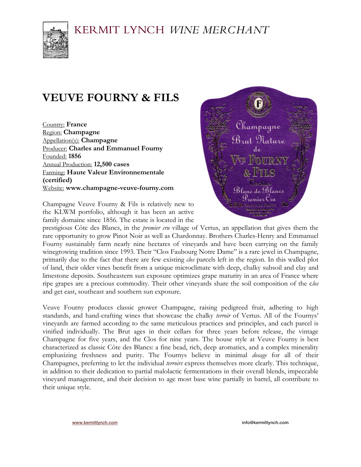

## **VEUVE FOURNY & FILS**

Country: **France** Region: **Champagne** Appellation(s): **Champagne** Producer: **Charles and Emmanuel Fourny** Founded: **1856** Annual Production: **12,500 cases** Farming: **Haute Valeur Environnementale (certified)** Website: **www.champagne-veuve-fourny.com**

Champagne Veuve Fourny & Fils is relatively new to the KLWM portfolio, although it has been an active family domaine since 1856. The estate is located in the



prestigious Côte des Blancs, in the *premier cru* village of Vertus, an appellation that gives them the rare opportunity to grow Pinot Noir as well as Chardonnay. Brothers Charles-Henry and Emmanuel Fourny sustainably farm nearly nine hectares of vineyards and have been carrying on the family winegrowing tradition since 1993. Their "Clos Faubourg Notre Dame" is a rare jewel in Champagne, primarily due to the fact that there are few existing *clos* parcels left in the region. In this walled plot of land, their older vines benefit from a unique microclimate with deep, chalky subsoil and clay and limestone deposits. Southeastern sun exposure optimizes grape maturity in an area of France where ripe grapes are a precious commodity. Their other vineyards share the soil composition of the c*los* and get east, southeast and southern sun exposure.

Veuve Fourny produces classic grower Champagne, raising pedigreed fruit, adhering to high standards, and hand-crafting wines that showcase the chalky *terroir* of Vertus. All of the Fournys' vineyards are farmed according to the same meticulous practices and principles, and each parcel is vinified individually. The Brut ages in their cellars for three years before release, the vintage Champagne for five years, and the Clos for nine years. The house style at Veuve Fourny is best characterized as classic Côte des Blancs: a fine bead, rich, deep aromatics, and a complex minerality emphasizing freshness and purity. The Fournys believe in minimal *dosage* for all of their Champagnes, preferring to let the individual *terroirs* express themselves more clearly. This technique, in addition to their dedication to partial malolactic fermentations in their overall blends, impeccable vineyard management, and their decision to age most base wine partially in barrel, all contribute to their unique style.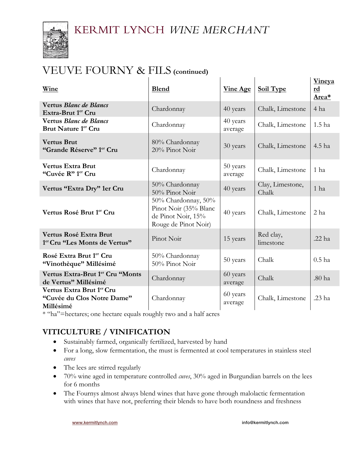

| Wine                                                                 | <b>Blend</b>                                                                               | <u>Vine Age</u>     | <b>Soil Type</b>          | <b>Vineya</b><br><u>rd</u><br>Area* |
|----------------------------------------------------------------------|--------------------------------------------------------------------------------------------|---------------------|---------------------------|-------------------------------------|
| Vertus Blanc de Blancs<br>Extra-Brut 1er Cru                         | Chardonnay                                                                                 | 40 years            | Chalk, Limestone          | 4 ha                                |
| Vertus Blanc de Blancs<br>Brut Nature 1er Cru                        | Chardonnay                                                                                 | 40 years<br>average | Chalk, Limestone          | 1.5 <sub>ha</sub>                   |
| <b>Vertus Brut</b><br>"Grande Réserve" 1 <sup>er</sup> Cru           | 80% Chardonnay<br>20% Pinot Noir                                                           | 30 years            | Chalk, Limestone          | 4.5 ha                              |
| <b>Vertus Extra Brut</b><br>"Cuvée R" 1 <sup>er</sup> Cru            | Chardonnay                                                                                 | 50 years<br>average | Chalk, Limestone          | 1 ha                                |
| Vertus "Extra Dry" 1er Cru                                           | 50% Chardonnay<br>50% Pinot Noir                                                           | 40 years            | Clay, Limestone,<br>Chalk | 1 ha                                |
| Vertus Rosé Brut 1 <sup>er</sup> Cru                                 | 50% Chardonnay, 50%<br>Pinot Noir (35% Blanc<br>de Pinot Noir, 15%<br>Rouge de Pinot Noir) | 40 years            | Chalk, Limestone          | 2 ha                                |
| Vertus Rosé Extra Brut<br>1 <sup>er</sup> Cru "Les Monts de Vertus"  | Pinot Noir                                                                                 | 15 years            | Red clay,<br>limestone    | .22 ha                              |
| Rosé Extra Brut 1er Cru<br>"Vinothèque" Millésimé                    | 50% Chardonnay<br>50% Pinot Noir                                                           | 50 years            | Chalk                     | $0.5$ ha                            |
| Vertus Extra-Brut 1 <sup>er</sup> Cru "Monts<br>de Vertus" Millésimé | Chardonnay                                                                                 | 60 years<br>average | Chalk                     | .80 ha                              |
| Vertus Extra Brut 1er Cru<br>"Cuvée du Clos Notre Dame"<br>Millésimé | Chardonnay                                                                                 | 60 years<br>average | Chalk, Limestone          | .23 ha                              |

\* "ha"=hectares; one hectare equals roughly two and a half acres

### **VITICULTURE / VINIFICATION**

- Sustainably farmed, organically fertilized, harvested by hand
- For a long, slow fermentation, the must is fermented at cool temperatures in stainless steel *cuves*
- The lees are stirred regularly
- 70% wine aged in temperature controlled *cuves*, 30% aged in Burgundian barrels on the lees for 6 months
- The Fournys almost always blend wines that have gone through malolactic fermentation with wines that have not, preferring their blends to have both roundness and freshness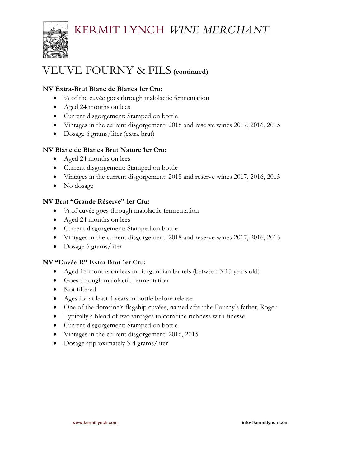

### **NV Extra-Brut Blanc de Blancs 1er Cru:**

- $\bullet$   $\frac{1}{4}$  of the cuvée goes through malolactic fermentation
- Aged 24 months on lees
- Current disgorgement: Stamped on bottle
- Vintages in the current disgorgement: 2018 and reserve wines 2017, 2016, 2015
- Dosage 6 grams/liter (extra brut)

### **NV Blanc de Blancs Brut Nature 1er Cru:**

- Aged 24 months on lees
- Current disgorgement: Stamped on bottle
- Vintages in the current disgorgement: 2018 and reserve wines 2017, 2016, 2015
- No dosage

### **NV Brut "Grande Réserve" 1er Cru:**

- $\bullet$   $\frac{1}{4}$  of cuvée goes through malolactic fermentation
- Aged 24 months on lees
- Current disgorgement: Stamped on bottle
- Vintages in the current disgorgement: 2018 and reserve wines 2017, 2016, 2015
- Dosage 6 grams/liter

#### **NV "Cuvée R" Extra Brut 1er Cru:**

- Aged 18 months on lees in Burgundian barrels (between 3-15 years old)
- Goes through malolactic fermentation
- Not filtered
- Ages for at least 4 years in bottle before release
- One of the domaine's flagship cuvées, named after the Fourny's father, Roger
- Typically a blend of two vintages to combine richness with finesse
- Current disgorgement: Stamped on bottle
- Vintages in the current disgorgement: 2016, 2015
- Dosage approximately 3-4 grams/liter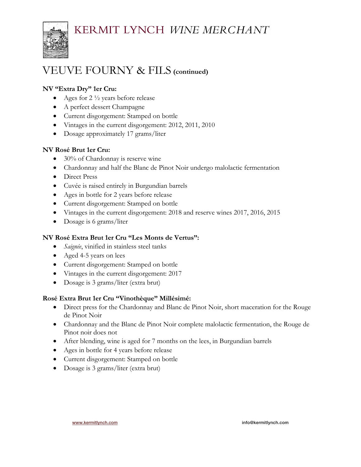

### **NV "Extra Dry" 1er Cru:**

- Ages for  $2\frac{1}{2}$  years before release
- A perfect dessert Champagne
- Current disgorgement: Stamped on bottle
- Vintages in the current disgorgement: 2012, 2011, 2010
- Dosage approximately 17 grams/liter

### **NV Rosé Brut 1er Cru:**

- 30% of Chardonnay is reserve wine
- Chardonnay and half the Blanc de Pinot Noir undergo malolactic fermentation
- Direct Press
- Cuvée is raised entirely in Burgundian barrels
- Ages in bottle for 2 years before release
- Current disgorgement: Stamped on bottle
- Vintages in the current disgorgement: 2018 and reserve wines 2017, 2016, 2015
- Dosage is 6 grams/liter

### **NV Rosé Extra Brut 1er Cru "Les Monts de Vertus":**

- *Saignée*, vinified in stainless steel tanks
- Aged 4-5 years on lees
- Current disgorgement: Stamped on bottle
- Vintages in the current disgorgement: 2017
- Dosage is 3 grams/liter (extra brut)

### **Rosé Extra Brut 1er Cru "Vinothèque" Millésimé:**

- Direct press for the Chardonnay and Blanc de Pinot Noir, short maceration for the Rouge de Pinot Noir
- Chardonnay and the Blanc de Pinot Noir complete malolactic fermentation, the Rouge de Pinot noir does not
- After blending, wine is aged for 7 months on the lees, in Burgundian barrels
- Ages in bottle for 4 years before release
- Current disgorgement: Stamped on bottle
- Dosage is 3 grams/liter (extra brut)